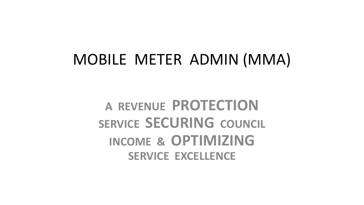## MOBILE METER ADMIN (MMA)

**A REVENUE PROTECTION SERVICE SECURING COUNCIL INCOME & OPTIMIZING SERVICE EXCELLENCE**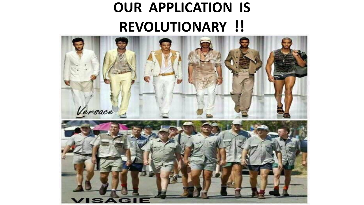## **OUR APPLICATION IS REVOLUTIONARY !!**

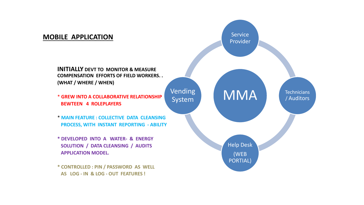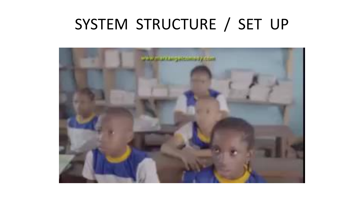## SYSTEM STRUCTURE / SET UP

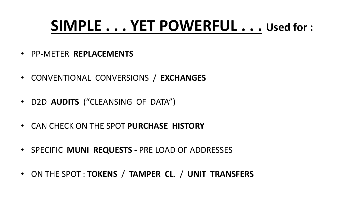## **SIMPLE . . . YET POWERFUL . . . Used for :**

- PP-METER **REPLACEMENTS**
- CONVENTIONAL CONVERSIONS / **EXCHANGES**
- D2D **AUDITS** ("CLEANSING OF DATA")
- CAN CHECK ON THE SPOT **PURCHASE HISTORY**
- SPECIFIC **MUNI REQUESTS**  PRE LOAD OF ADDRESSES
- ON THE SPOT : **TOKENS** / **TAMPER CL**. / **UNIT TRANSFERS**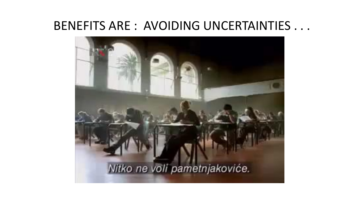### BENEFITS ARE : AVOIDING UNCERTAINTIES . . .

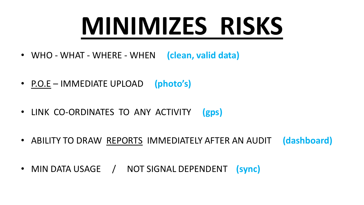# **MINIMIZES RISKS**

- WHO WHAT WHERE WHEN **(clean, valid data)**
- P.O.E IMMEDIATE UPLOAD **(photo's)**
- LINK CO-ORDINATES TO ANY ACTIVITY **(gps)**
- ABILITY TO DRAW REPORTS IMMEDIATELY AFTER AN AUDIT **(dashboard)**
- MIN DATA USAGE / NOT SIGNAL DEPENDENT **(sync)**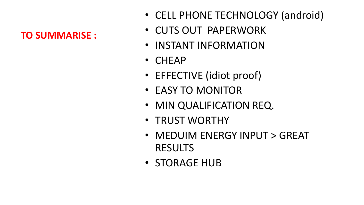#### **TO SUMMARISE :**

- CELL PHONE TECHNOLOGY (android)
- CUTS OUT PAPERWORK
- INSTANT INFORMATION
- CHEAP
- EFFECTIVE (idiot proof)
- EASY TO MONITOR
- MIN QUALIFICATION REQ.
- TRUST WORTHY
- MEDUIM ENERGY INPUT > GREAT RESULTS
- STORAGE HUB